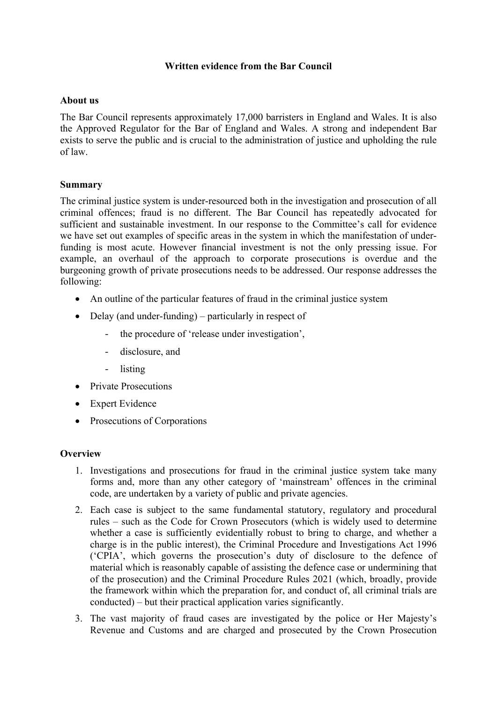# **Written evidence from the Bar Council**

### **About us**

The Bar Council represents approximately 17,000 barristers in England and Wales. It is also the Approved Regulator for the Bar of England and Wales. A strong and independent Bar exists to serve the public and is crucial to the administration of justice and upholding the rule of law.

### **Summary**

The criminal justice system is under-resourced both in the investigation and prosecution of all criminal offences; fraud is no different. The Bar Council has repeatedly advocated for sufficient and sustainable investment. In our response to the Committee's call for evidence we have set out examples of specific areas in the system in which the manifestation of underfunding is most acute. However financial investment is not the only pressing issue. For example, an overhaul of the approach to corporate prosecutions is overdue and the burgeoning growth of private prosecutions needs to be addressed. Our response addresses the following:

- An outline of the particular features of fraud in the criminal justice system
- Delay (and under-funding) particularly in respect of
	- the procedure of 'release under investigation'.
	- disclosure, and
	- listing
- Private Prosecutions
- Expert Evidence
- Prosecutions of Corporations

### **Overview**

- 1. Investigations and prosecutions for fraud in the criminal justice system take many forms and, more than any other category of 'mainstream' offences in the criminal code, are undertaken by a variety of public and private agencies.
- 2. Each case is subject to the same fundamental statutory, regulatory and procedural rules – such as the Code for Crown Prosecutors (which is widely used to determine whether a case is sufficiently evidentially robust to bring to charge, and whether a charge is in the public interest), the Criminal Procedure and Investigations Act 1996 ('CPIA', which governs the prosecution's duty of disclosure to the defence of material which is reasonably capable of assisting the defence case or undermining that of the prosecution) and the Criminal Procedure Rules 2021 (which, broadly, provide the framework within which the preparation for, and conduct of, all criminal trials are conducted) – but their practical application varies significantly.
- 3. The vast majority of fraud cases are investigated by the police or Her Majesty's Revenue and Customs and are charged and prosecuted by the Crown Prosecution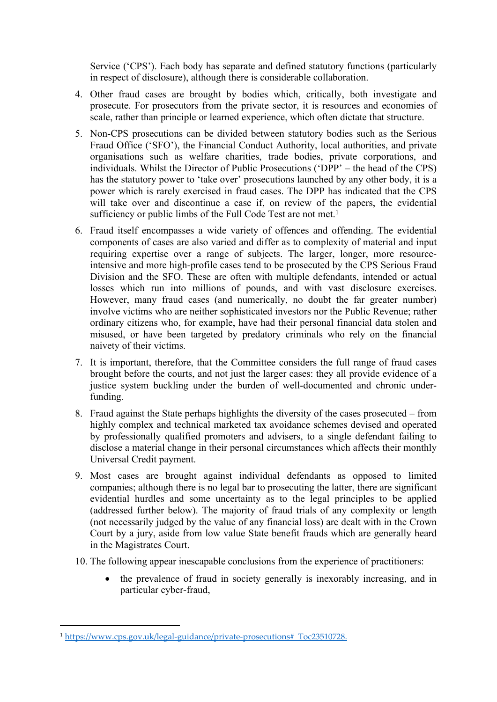Service ('CPS'). Each body has separate and defined statutory functions (particularly in respect of disclosure), although there is considerable collaboration.

- 4. Other fraud cases are brought by bodies which, critically, both investigate and prosecute. For prosecutors from the private sector, it is resources and economies of scale, rather than principle or learned experience, which often dictate that structure.
- 5. Non-CPS prosecutions can be divided between statutory bodies such as the Serious Fraud Office ('SFO'), the Financial Conduct Authority, local authorities, and private organisations such as welfare charities, trade bodies, private corporations, and individuals. Whilst the Director of Public Prosecutions ('DPP' – the head of the CPS) has the statutory power to 'take over' prosecutions launched by any other body, it is a power which is rarely exercised in fraud cases. The DPP has indicated that the CPS will take over and discontinue a case if, on review of the papers, the evidential sufficiency or public limbs of the Full Code Test are not met.<sup>1</sup>
- 6. Fraud itself encompasses a wide variety of offences and offending. The evidential components of cases are also varied and differ as to complexity of material and input requiring expertise over a range of subjects. The larger, longer, more resourceintensive and more high-profile cases tend to be prosecuted by the CPS Serious Fraud Division and the SFO. These are often with multiple defendants, intended or actual losses which run into millions of pounds, and with vast disclosure exercises. However, many fraud cases (and numerically, no doubt the far greater number) involve victims who are neither sophisticated investors nor the Public Revenue; rather ordinary citizens who, for example, have had their personal financial data stolen and misused, or have been targeted by predatory criminals who rely on the financial naivety of their victims.
- 7. It is important, therefore, that the Committee considers the full range of fraud cases brought before the courts, and not just the larger cases: they all provide evidence of a justice system buckling under the burden of well-documented and chronic underfunding.
- 8. Fraud against the State perhaps highlights the diversity of the cases prosecuted from highly complex and technical marketed tax avoidance schemes devised and operated by professionally qualified promoters and advisers, to a single defendant failing to disclose a material change in their personal circumstances which affects their monthly Universal Credit payment.
- 9. Most cases are brought against individual defendants as opposed to limited companies; although there is no legal bar to prosecuting the latter, there are significant evidential hurdles and some uncertainty as to the legal principles to be applied (addressed further below). The majority of fraud trials of any complexity or length (not necessarily judged by the value of any financial loss) are dealt with in the Crown Court by a jury, aside from low value State benefit frauds which are generally heard in the Magistrates Court.
- 10. The following appear inescapable conclusions from the experience of practitioners:
	- the prevalence of fraud in society generally is inexorably increasing, and in particular cyber-fraud,

<sup>&</sup>lt;sup>1</sup> https://www.cps.gov.uk/legal-guidance/private-prosecutions# Toc23510728.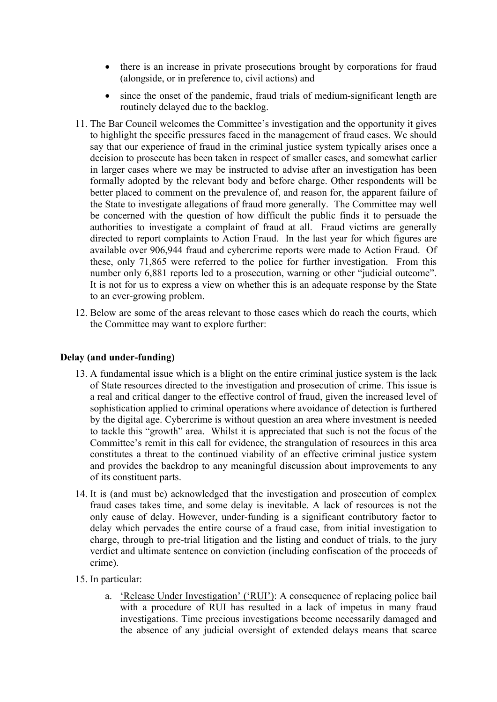- there is an increase in private prosecutions brought by corporations for fraud (alongside, or in preference to, civil actions) and
- since the onset of the pandemic, fraud trials of medium-significant length are routinely delayed due to the backlog.
- 11. The Bar Council welcomes the Committee's investigation and the opportunity it gives to highlight the specific pressures faced in the management of fraud cases. We should say that our experience of fraud in the criminal justice system typically arises once a decision to prosecute has been taken in respect of smaller cases, and somewhat earlier in larger cases where we may be instructed to advise after an investigation has been formally adopted by the relevant body and before charge. Other respondents will be better placed to comment on the prevalence of, and reason for, the apparent failure of the State to investigate allegations of fraud more generally. The Committee may well be concerned with the question of how difficult the public finds it to persuade the authorities to investigate a complaint of fraud at all. Fraud victims are generally directed to report complaints to Action Fraud. In the last year for which figures are available over 906,944 fraud and cybercrime reports were made to Action Fraud. Of these, only 71,865 were referred to the police for further investigation. From this number only 6,881 reports led to a prosecution, warning or other "judicial outcome". It is not for us to express a view on whether this is an adequate response by the State to an ever-growing problem.
- 12. Below are some of the areas relevant to those cases which do reach the courts, which the Committee may want to explore further:

# **Delay (and under-funding)**

- 13. A fundamental issue which is a blight on the entire criminal justice system is the lack of State resources directed to the investigation and prosecution of crime. This issue is a real and critical danger to the effective control of fraud, given the increased level of sophistication applied to criminal operations where avoidance of detection is furthered by the digital age. Cybercrime is without question an area where investment is needed to tackle this "growth" area. Whilst it is appreciated that such is not the focus of the Committee's remit in this call for evidence, the strangulation of resources in this area constitutes a threat to the continued viability of an effective criminal justice system and provides the backdrop to any meaningful discussion about improvements to any of its constituent parts.
- 14. It is (and must be) acknowledged that the investigation and prosecution of complex fraud cases takes time, and some delay is inevitable. A lack of resources is not the only cause of delay. However, under-funding is a significant contributory factor to delay which pervades the entire course of a fraud case, from initial investigation to charge, through to pre-trial litigation and the listing and conduct of trials, to the jury verdict and ultimate sentence on conviction (including confiscation of the proceeds of crime).
- 15. In particular:
	- a. 'Release Under Investigation' ('RUI'): A consequence of replacing police bail with a procedure of RUI has resulted in a lack of impetus in many fraud investigations. Time precious investigations become necessarily damaged and the absence of any judicial oversight of extended delays means that scarce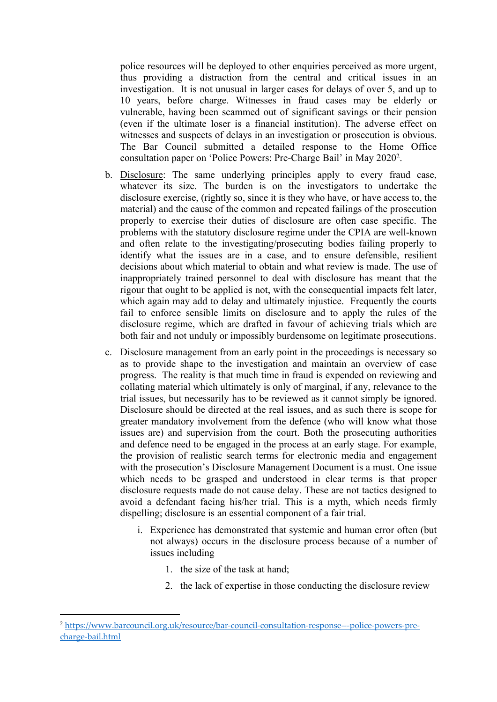police resources will be deployed to other enquiries perceived as more urgent, thus providing a distraction from the central and critical issues in an investigation. It is not unusual in larger cases for delays of over 5, and up to 10 years, before charge. Witnesses in fraud cases may be elderly or vulnerable, having been scammed out of significant savings or their pension (even if the ultimate loser is a financial institution). The adverse effect on witnesses and suspects of delays in an investigation or prosecution is obvious. The Bar Council submitted a detailed response to the Home Office consultation paper on 'Police Powers: Pre-Charge Bail' in May 2020<sup>2</sup> .

- b. Disclosure: The same underlying principles apply to every fraud case, whatever its size. The burden is on the investigators to undertake the disclosure exercise, (rightly so, since it is they who have, or have access to, the material) and the cause of the common and repeated failings of the prosecution properly to exercise their duties of disclosure are often case specific. The problems with the statutory disclosure regime under the CPIA are well-known and often relate to the investigating/prosecuting bodies failing properly to identify what the issues are in a case, and to ensure defensible, resilient decisions about which material to obtain and what review is made. The use of inappropriately trained personnel to deal with disclosure has meant that the rigour that ought to be applied is not, with the consequential impacts felt later, which again may add to delay and ultimately injustice. Frequently the courts fail to enforce sensible limits on disclosure and to apply the rules of the disclosure regime, which are drafted in favour of achieving trials which are both fair and not unduly or impossibly burdensome on legitimate prosecutions.
- c. Disclosure management from an early point in the proceedings is necessary so as to provide shape to the investigation and maintain an overview of case progress. The reality is that much time in fraud is expended on reviewing and collating material which ultimately is only of marginal, if any, relevance to the trial issues, but necessarily has to be reviewed as it cannot simply be ignored. Disclosure should be directed at the real issues, and as such there is scope for greater mandatory involvement from the defence (who will know what those issues are) and supervision from the court. Both the prosecuting authorities and defence need to be engaged in the process at an early stage. For example, the provision of realistic search terms for electronic media and engagement with the prosecution's Disclosure Management Document is a must. One issue which needs to be grasped and understood in clear terms is that proper disclosure requests made do not cause delay. These are not tactics designed to avoid a defendant facing his/her trial. This is a myth, which needs firmly dispelling; disclosure is an essential component of a fair trial.
	- i. Experience has demonstrated that systemic and human error often (but not always) occurs in the disclosure process because of a number of issues including
		- 1. the size of the task at hand;
		- 2. the lack of expertise in those conducting the disclosure review

<sup>2</sup> [https://www.barcouncil.org.uk/resource/bar-council-consultation-response---police-powers-pre](https://www.barcouncil.org.uk/resource/bar-council-consultation-response---police-powers-pre-charge-bail.html)[charge-bail.html](https://www.barcouncil.org.uk/resource/bar-council-consultation-response---police-powers-pre-charge-bail.html)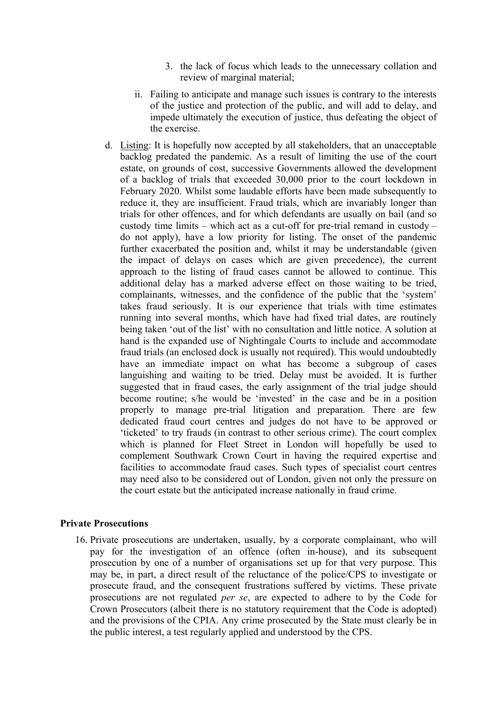- 3. the lack of focus which leads to the unnecessary collation and review of marginal material;
- ii. Failing to anticipate and manage such issues is contrary to the interests of the justice and protection of the public, and will add to delay, and impede ultimately the execution of justice, thus defeating the object of the exercise.
- d. Listing: It is hopefully now accepted by all stakeholders, that an unacceptable backlog predated the pandemic. As a result of limiting the use of the court estate, on grounds of cost, successive Governments allowed the development of a backlog of trials that exceeded 30,000 prior to the court lockdown in February 2020. Whilst some laudable efforts have been made subsequently to reduce it, they are insufficient. Fraud trials, which are invariably longer than trials for other offences, and for which defendants are usually on bail (and so custody time limits – which act as a cut-off for pre-trial remand in custody – do not apply), have a low priority for listing. The onset of the pandemic further exacerbated the position and, whilst it may be understandable (given the impact of delays on cases which are given precedence), the current approach to the listing of fraud cases cannot be allowed to continue. This additional delay has a marked adverse effect on those waiting to be tried, complainants, witnesses, and the confidence of the public that the 'system' takes fraud seriously. It is our experience that trials with time estimates running into several months, which have had fixed trial dates, are routinely being taken 'out of the list' with no consultation and little notice. A solution at hand is the expanded use of Nightingale Courts to include and accommodate fraud trials (an enclosed dock is usually not required). This would undoubtedly have an immediate impact on what has become a subgroup of cases languishing and waiting to be tried. Delay must be avoided. It is further suggested that in fraud cases, the early assignment of the trial judge should become routine; s/he would be 'invested' in the case and be in a position properly to manage pre-trial litigation and preparation. There are few dedicated fraud court centres and judges do not have to be approved or 'ticketed' to try frauds (in contrast to other serious crime). The court complex which is planned for Fleet Street in London will hopefully be used to complement Southwark Crown Court in having the required expertise and facilities to accommodate fraud cases. Such types of specialist court centres may need also to be considered out of London, given not only the pressure on the court estate but the anticipated increase nationally in fraud crime.

#### **Private Prosecutions**

16. Private prosecutions are undertaken, usually, by a corporate complainant, who will pay for the investigation of an offence (often in-house), and its subsequent prosecution by one of a number of organisations set up for that very purpose. This may be, in part, a direct result of the reluctance of the police/CPS to investigate or prosecute fraud, and the consequent frustrations suffered by victims. These private prosecutions are not regulated *per se*, are expected to adhere to by the Code for Crown Prosecutors (albeit there is no statutory requirement that the Code is adopted) and the provisions of the CPIA. Any crime prosecuted by the State must clearly be in the public interest, a test regularly applied and understood by the CPS.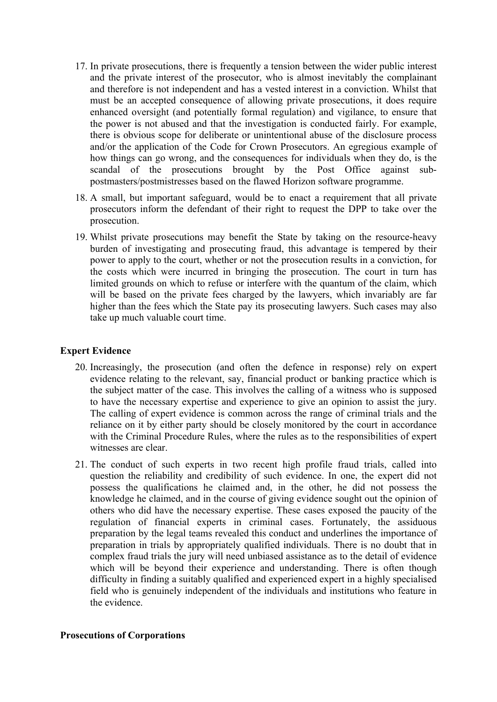- 17. In private prosecutions, there is frequently a tension between the wider public interest and the private interest of the prosecutor, who is almost inevitably the complainant and therefore is not independent and has a vested interest in a conviction. Whilst that must be an accepted consequence of allowing private prosecutions, it does require enhanced oversight (and potentially formal regulation) and vigilance, to ensure that the power is not abused and that the investigation is conducted fairly. For example, there is obvious scope for deliberate or unintentional abuse of the disclosure process and/or the application of the Code for Crown Prosecutors. An egregious example of how things can go wrong, and the consequences for individuals when they do, is the scandal of the prosecutions brought by the Post Office against subpostmasters/postmistresses based on the flawed Horizon software programme.
- 18. A small, but important safeguard, would be to enact a requirement that all private prosecutors inform the defendant of their right to request the DPP to take over the prosecution.
- 19. Whilst private prosecutions may benefit the State by taking on the resource-heavy burden of investigating and prosecuting fraud, this advantage is tempered by their power to apply to the court, whether or not the prosecution results in a conviction, for the costs which were incurred in bringing the prosecution. The court in turn has limited grounds on which to refuse or interfere with the quantum of the claim, which will be based on the private fees charged by the lawyers, which invariably are far higher than the fees which the State pay its prosecuting lawyers. Such cases may also take up much valuable court time.

# **Expert Evidence**

- 20. Increasingly, the prosecution (and often the defence in response) rely on expert evidence relating to the relevant, say, financial product or banking practice which is the subject matter of the case. This involves the calling of a witness who is supposed to have the necessary expertise and experience to give an opinion to assist the jury. The calling of expert evidence is common across the range of criminal trials and the reliance on it by either party should be closely monitored by the court in accordance with the Criminal Procedure Rules, where the rules as to the responsibilities of expert witnesses are clear.
- 21. The conduct of such experts in two recent high profile fraud trials, called into question the reliability and credibility of such evidence. In one, the expert did not possess the qualifications he claimed and, in the other, he did not possess the knowledge he claimed, and in the course of giving evidence sought out the opinion of others who did have the necessary expertise. These cases exposed the paucity of the regulation of financial experts in criminal cases. Fortunately, the assiduous preparation by the legal teams revealed this conduct and underlines the importance of preparation in trials by appropriately qualified individuals. There is no doubt that in complex fraud trials the jury will need unbiased assistance as to the detail of evidence which will be beyond their experience and understanding. There is often though difficulty in finding a suitably qualified and experienced expert in a highly specialised field who is genuinely independent of the individuals and institutions who feature in the evidence.

### **Prosecutions of Corporations**